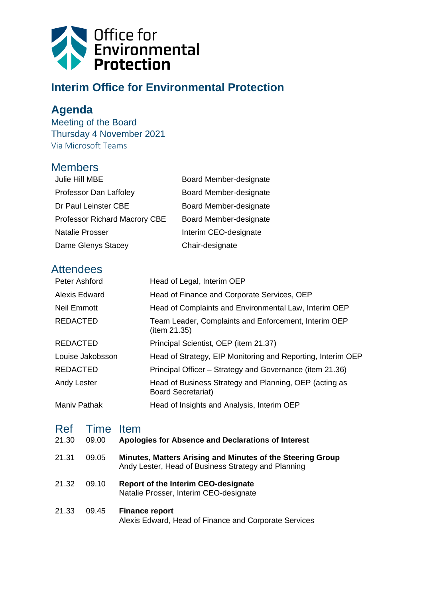

# **Interim Office for Environmental Protection**

## **Agenda**

Meeting of the Board Thursday 4 November 2021 Via Microsoft Teams

#### Members

| Julie Hill MBE                       | Board Member-designate |
|--------------------------------------|------------------------|
| Professor Dan Laffoley               | Board Member-designate |
| Dr Paul Leinster CBE                 | Board Member-designate |
| <b>Professor Richard Macrory CBE</b> | Board Member-designate |
| <b>Natalie Prosser</b>               | Interim CEO-designate  |
| Dame Glenys Stacey                   | Chair-designate        |

### **Attendees**

| Peter Ashford        | Head of Legal, Interim OEP                                                          |
|----------------------|-------------------------------------------------------------------------------------|
| <b>Alexis Edward</b> | Head of Finance and Corporate Services, OEP                                         |
| Neil Emmott          | Head of Complaints and Environmental Law, Interim OEP                               |
| <b>REDACTED</b>      | Team Leader, Complaints and Enforcement, Interim OEP<br>(item 21.35)                |
| <b>REDACTED</b>      | Principal Scientist, OEP (item 21.37)                                               |
| Louise Jakobsson     | Head of Strategy, EIP Monitoring and Reporting, Interim OEP                         |
| <b>REDACTED</b>      | Principal Officer – Strategy and Governance (item 21.36)                            |
| Andy Lester          | Head of Business Strategy and Planning, OEP (acting as<br><b>Board Secretariat)</b> |
| <b>Maniv Pathak</b>  | Head of Insights and Analysis, Interim OEP                                          |

#### Ref Time Item

| 21.30 | 09.00 | Apologies for Absence and Declarations of Interest                                                                |
|-------|-------|-------------------------------------------------------------------------------------------------------------------|
| 21.31 | 09.05 | Minutes, Matters Arising and Minutes of the Steering Group<br>Andy Lester, Head of Business Strategy and Planning |
| 21.32 | 09.10 | <b>Report of the Interim CEO-designate</b><br>Natalie Prosser, Interim CEO-designate                              |
| 21.33 | 09.45 | <b>Finance report</b><br>Alexis Edward, Head of Finance and Corporate Services                                    |